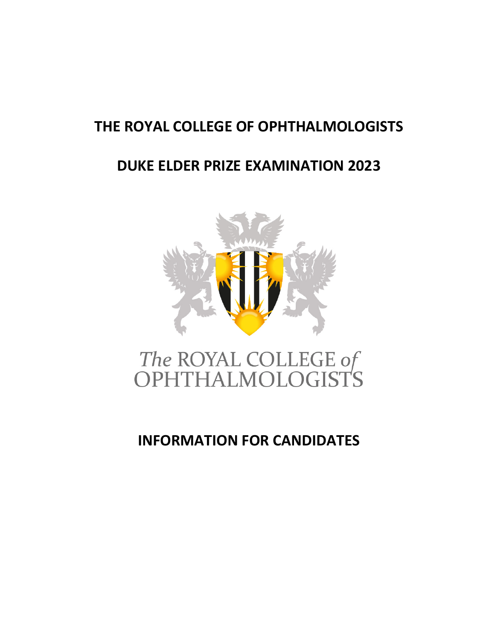# **THE ROYAL COLLEGE OF OPHTHALMOLOGISTS**

# **DUKE ELDER PRIZE EXAMINATION 2023**



# The ROYAL COLLEGE of<br>OPHTHALMOLOGISTS

# **INFORMATION FOR CANDIDATES**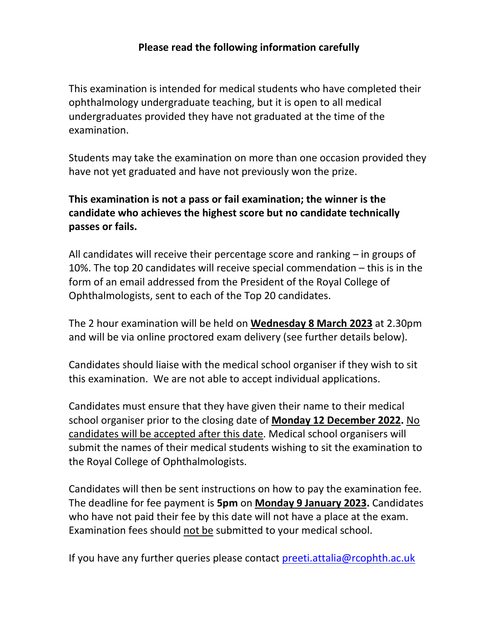## **Please read the following information carefully**

This examination is intended for medical students who have completed their ophthalmology undergraduate teaching, but it is open to all medical undergraduates provided they have not graduated at the time of the examination.

Students may take the examination on more than one occasion provided they have not yet graduated and have not previously won the prize.

# **This examination is not a pass or fail examination; the winner is the candidate who achieves the highest score but no candidate technically passes or fails.**

All candidates will receive their percentage score and ranking – in groups of 10%. The top 20 candidates will receive special commendation – this is in the form of an email addressed from the President of the Royal College of Ophthalmologists, sent to each of the Top 20 candidates.

The 2 hour examination will be held on **Wednesday 8 March 2023** at 2.30pm and will be via online proctored exam delivery (see further details below).

Candidates should liaise with the medical school organiser if they wish to sit this examination. We are not able to accept individual applications.

Candidates must ensure that they have given their name to their medical school organiser prior to the closing date of **Monday 12 December 2022.** No candidates will be accepted after this date. Medical school organisers will submit the names of their medical students wishing to sit the examination to the Royal College of Ophthalmologists.

Candidates will then be sent instructions on how to pay the examination fee. The deadline for fee payment is **5pm** on **Monday 9 January 2023.** Candidates who have not paid their fee by this date will not have a place at the exam. Examination fees should not be submitted to your medical school.

If you have any further queries please contact [preeti.attalia@rcophth.ac.uk](mailto:preeti.attalia@rcophth.ac.uk)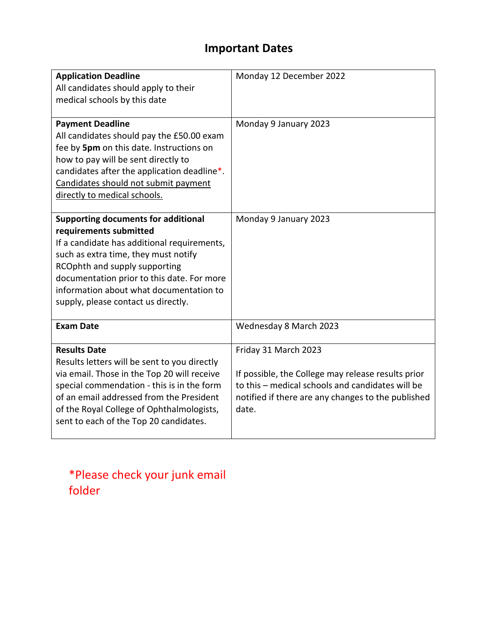# **Important Dates**

| <b>Application Deadline</b><br>All candidates should apply to their<br>medical schools by this date                                                                                                                                                                                                                          | Monday 12 December 2022                                                                                                                                                                       |
|------------------------------------------------------------------------------------------------------------------------------------------------------------------------------------------------------------------------------------------------------------------------------------------------------------------------------|-----------------------------------------------------------------------------------------------------------------------------------------------------------------------------------------------|
| <b>Payment Deadline</b><br>All candidates should pay the £50.00 exam<br>fee by 5pm on this date. Instructions on<br>how to pay will be sent directly to<br>candidates after the application deadline*.<br>Candidates should not submit payment<br>directly to medical schools.                                               | Monday 9 January 2023                                                                                                                                                                         |
| <b>Supporting documents for additional</b><br>requirements submitted<br>If a candidate has additional requirements,<br>such as extra time, they must notify<br>RCOphth and supply supporting<br>documentation prior to this date. For more<br>information about what documentation to<br>supply, please contact us directly. | Monday 9 January 2023                                                                                                                                                                         |
| <b>Exam Date</b>                                                                                                                                                                                                                                                                                                             | Wednesday 8 March 2023                                                                                                                                                                        |
| <b>Results Date</b><br>Results letters will be sent to you directly<br>via email. Those in the Top 20 will receive<br>special commendation - this is in the form<br>of an email addressed from the President<br>of the Royal College of Ophthalmologists,<br>sent to each of the Top 20 candidates.                          | Friday 31 March 2023<br>If possible, the College may release results prior<br>to this - medical schools and candidates will be<br>notified if there are any changes to the published<br>date. |

\*Please check your junk email folder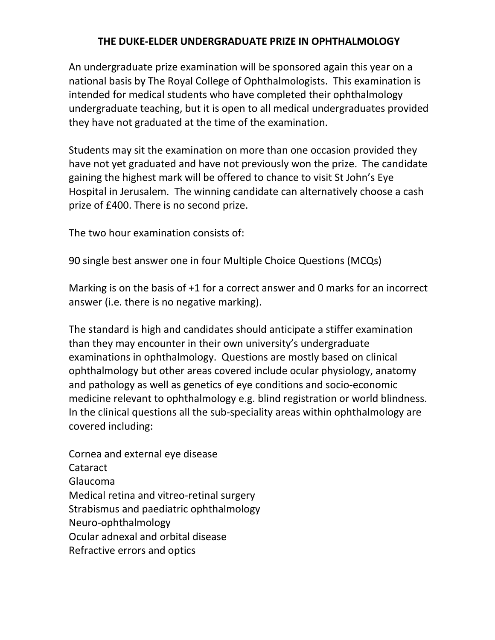## **THE DUKE-ELDER UNDERGRADUATE PRIZE IN OPHTHALMOLOGY**

An undergraduate prize examination will be sponsored again this year on a national basis by The Royal College of Ophthalmologists. This examination is intended for medical students who have completed their ophthalmology undergraduate teaching, but it is open to all medical undergraduates provided they have not graduated at the time of the examination.

Students may sit the examination on more than one occasion provided they have not yet graduated and have not previously won the prize. The candidate gaining the highest mark will be offered to chance to visit St John's Eye Hospital in Jerusalem. The winning candidate can alternatively choose a cash prize of £400. There is no second prize.

The two hour examination consists of:

90 single best answer one in four Multiple Choice Questions (MCQs)

Marking is on the basis of +1 for a correct answer and 0 marks for an incorrect answer (i.e. there is no negative marking).

The standard is high and candidates should anticipate a stiffer examination than they may encounter in their own university's undergraduate examinations in ophthalmology. Questions are mostly based on clinical ophthalmology but other areas covered include ocular physiology, anatomy and pathology as well as genetics of eye conditions and socio-economic medicine relevant to ophthalmology e.g. blind registration or world blindness. In the clinical questions all the sub-speciality areas within ophthalmology are covered including:

Cornea and external eye disease Cataract Glaucoma Medical retina and vitreo-retinal surgery Strabismus and paediatric ophthalmology Neuro-ophthalmology Ocular adnexal and orbital disease Refractive errors and optics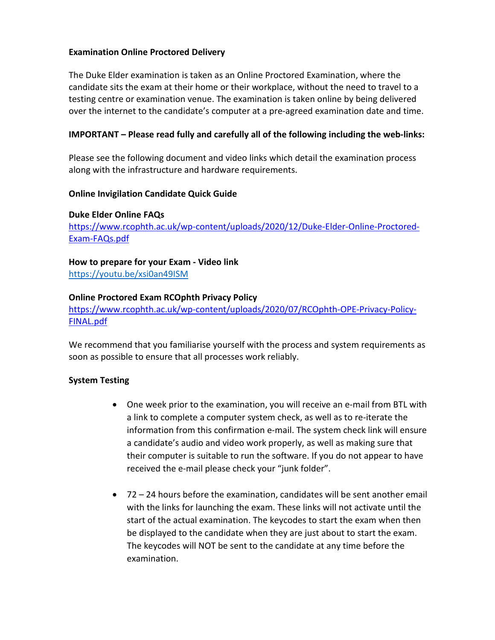#### **Examination Online Proctored Delivery**

The Duke Elder examination is taken as an Online Proctored Examination, where the candidate sits the exam at their home or their workplace, without the need to travel to a testing centre or examination venue. The examination is taken online by being delivered over the internet to the candidate's computer at a pre-agreed examination date and time.

#### **IMPORTANT – Please read fully and carefully all of the following including the web-links:**

Please see the following document and video links which detail the examination process along with the infrastructure and hardware requirements.

#### **Online Invigilation Candidate Quick Guide**

#### **Duke Elder Online FAQs**

[https://www.rcophth.ac.uk/wp-content/uploads/2020/12/Duke-Elder-Online-Proctored-](https://www.rcophth.ac.uk/wp-content/uploads/2020/12/Duke-Elder-Online-Proctored-Exam-FAQs.pdf)[Exam-FAQs.pdf](https://www.rcophth.ac.uk/wp-content/uploads/2020/12/Duke-Elder-Online-Proctored-Exam-FAQs.pdf)

#### **How to prepare for your Exam - Video link**

[https://youtu.be/xsi0an49ISM](https://protect-eu.mimecast.com/s/qWgHCpkzjF9lJLCDopKz) 

#### **Online Proctored Exam RCOphth Privacy Policy**

[https://www.rcophth.ac.uk/wp-content/uploads/2020/07/RCOphth-OPE-Privacy-Policy-](https://www.rcophth.ac.uk/wp-content/uploads/2020/07/RCOphth-OPE-Privacy-Policy-FINAL.pdf)[FINAL.pdf](https://www.rcophth.ac.uk/wp-content/uploads/2020/07/RCOphth-OPE-Privacy-Policy-FINAL.pdf)

We recommend that you familiarise yourself with the process and system requirements as soon as possible to ensure that all processes work reliably.

#### **System Testing**

- One week prior to the examination, you will receive an e-mail from BTL with a link to complete a computer system check, as well as to re-iterate the information from this confirmation e-mail. The system check link will ensure a candidate's audio and video work properly, as well as making sure that their computer is suitable to run the software. If you do not appear to have received the e-mail please check your "junk folder".
- 72 24 hours before the examination, candidates will be sent another email with the links for launching the exam. These links will not activate until the start of the actual examination. The keycodes to start the exam when then be displayed to the candidate when they are just about to start the exam. The keycodes will NOT be sent to the candidate at any time before the examination.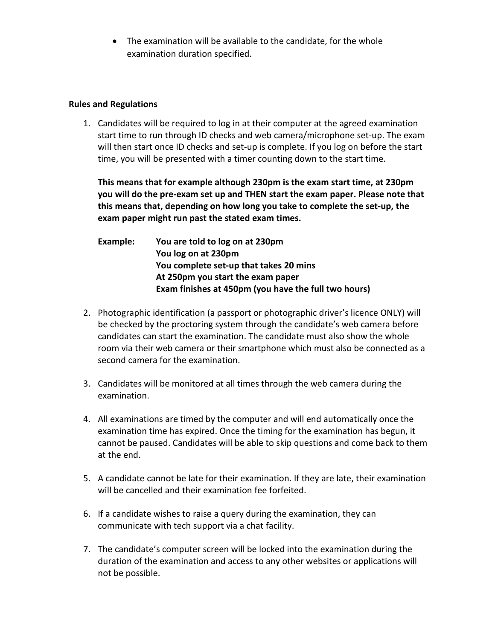• The examination will be available to the candidate, for the whole examination duration specified.

#### **Rules and Regulations**

1. Candidates will be required to log in at their computer at the agreed examination start time to run through ID checks and web camera/microphone set-up. The exam will then start once ID checks and set-up is complete. If you log on before the start time, you will be presented with a timer counting down to the start time.

**This means that for example although 230pm is the exam start time, at 230pm you will do the pre-exam set up and THEN start the exam paper. Please note that this means that, depending on how long you take to complete the set-up, the exam paper might run past the stated exam times.** 

**Example: You are told to log on at 230pm You log on at 230pm You complete set-up that takes 20 mins At 250pm you start the exam paper Exam finishes at 450pm (you have the full two hours)**

- 2. Photographic identification (a passport or photographic driver's licence ONLY) will be checked by the proctoring system through the candidate's web camera before candidates can start the examination. The candidate must also show the whole room via their web camera or their smartphone which must also be connected as a second camera for the examination.
- 3. Candidates will be monitored at all times through the web camera during the examination.
- 4. All examinations are timed by the computer and will end automatically once the examination time has expired. Once the timing for the examination has begun, it cannot be paused. Candidates will be able to skip questions and come back to them at the end.
- 5. A candidate cannot be late for their examination. If they are late, their examination will be cancelled and their examination fee forfeited.
- 6. If a candidate wishes to raise a query during the examination, they can communicate with tech support via a chat facility.
- 7. The candidate's computer screen will be locked into the examination during the duration of the examination and access to any other websites or applications will not be possible.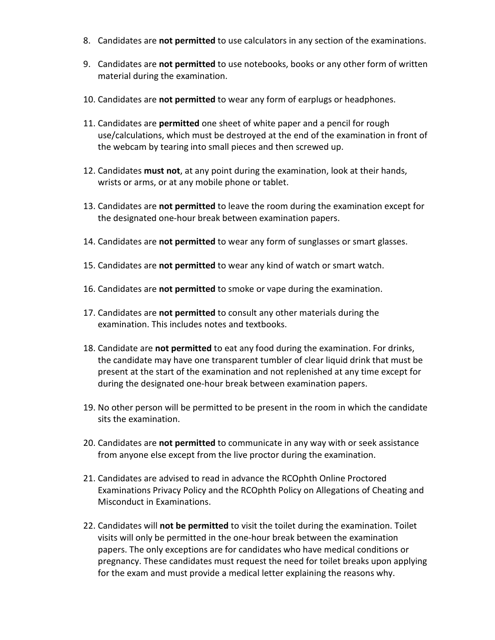- 8. Candidates are **not permitted** to use calculators in any section of the examinations.
- 9. Candidates are **not permitted** to use notebooks, books or any other form of written material during the examination.
- 10. Candidates are **not permitted** to wear any form of earplugs or headphones.
- 11. Candidates are **permitted** one sheet of white paper and a pencil for rough use/calculations, which must be destroyed at the end of the examination in front of the webcam by tearing into small pieces and then screwed up.
- 12. Candidates **must not**, at any point during the examination, look at their hands, wrists or arms, or at any mobile phone or tablet.
- 13. Candidates are **not permitted** to leave the room during the examination except for the designated one-hour break between examination papers.
- 14. Candidates are **not permitted** to wear any form of sunglasses or smart glasses.
- 15. Candidates are **not permitted** to wear any kind of watch or smart watch.
- 16. Candidates are **not permitted** to smoke or vape during the examination.
- 17. Candidates are **not permitted** to consult any other materials during the examination. This includes notes and textbooks.
- 18. Candidate are **not permitted** to eat any food during the examination. For drinks, the candidate may have one transparent tumbler of clear liquid drink that must be present at the start of the examination and not replenished at any time except for during the designated one-hour break between examination papers.
- 19. No other person will be permitted to be present in the room in which the candidate sits the examination.
- 20. Candidates are **not permitted** to communicate in any way with or seek assistance from anyone else except from the live proctor during the examination.
- 21. Candidates are advised to read in advance the RCOphth Online Proctored Examinations Privacy Policy and the RCOphth Policy on Allegations of Cheating and Misconduct in Examinations.
- 22. Candidates will **not be permitted** to visit the toilet during the examination. Toilet visits will only be permitted in the one-hour break between the examination papers. The only exceptions are for candidates who have medical conditions or pregnancy. These candidates must request the need for toilet breaks upon applying for the exam and must provide a medical letter explaining the reasons why.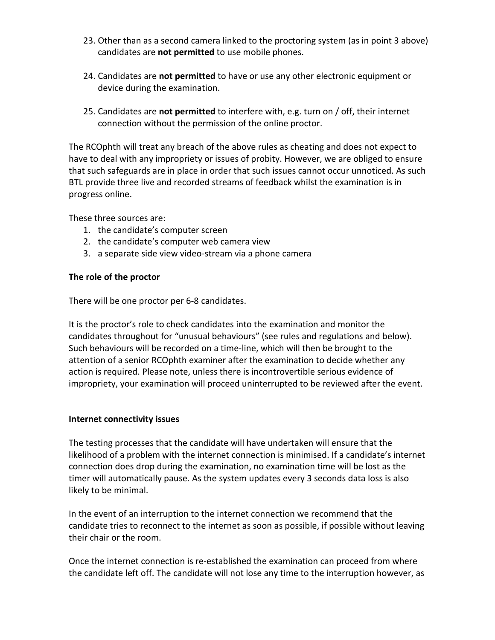- 23. Other than as a second camera linked to the proctoring system (as in point 3 above) candidates are **not permitted** to use mobile phones.
- 24. Candidates are **not permitted** to have or use any other electronic equipment or device during the examination.
- 25. Candidates are **not permitted** to interfere with, e.g. turn on / off, their internet connection without the permission of the online proctor.

The RCOphth will treat any breach of the above rules as cheating and does not expect to have to deal with any impropriety or issues of probity. However, we are obliged to ensure that such safeguards are in place in order that such issues cannot occur unnoticed. As such BTL provide three live and recorded streams of feedback whilst the examination is in progress online.

These three sources are:

- 1. the candidate's computer screen
- 2. the candidate's computer web camera view
- 3. a separate side view video-stream via a phone camera

#### **The role of the proctor**

There will be one proctor per 6-8 candidates.

It is the proctor's role to check candidates into the examination and monitor the candidates throughout for "unusual behaviours" (see rules and regulations and below). Such behaviours will be recorded on a time-line, which will then be brought to the attention of a senior RCOphth examiner after the examination to decide whether any action is required. Please note, unless there is incontrovertible serious evidence of impropriety, your examination will proceed uninterrupted to be reviewed after the event.

#### **Internet connectivity issues**

The testing processes that the candidate will have undertaken will ensure that the likelihood of a problem with the internet connection is minimised. If a candidate's internet connection does drop during the examination, no examination time will be lost as the timer will automatically pause. As the system updates every 3 seconds data loss is also likely to be minimal.

In the event of an interruption to the internet connection we recommend that the candidate tries to reconnect to the internet as soon as possible, if possible without leaving their chair or the room.

Once the internet connection is re-established the examination can proceed from where the candidate left off. The candidate will not lose any time to the interruption however, as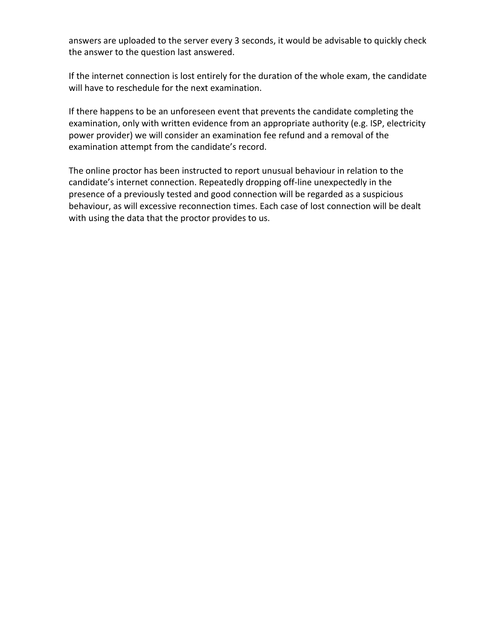answers are uploaded to the server every 3 seconds, it would be advisable to quickly check the answer to the question last answered.

If the internet connection is lost entirely for the duration of the whole exam, the candidate will have to reschedule for the next examination.

If there happens to be an unforeseen event that prevents the candidate completing the examination, only with written evidence from an appropriate authority (e.g. ISP, electricity power provider) we will consider an examination fee refund and a removal of the examination attempt from the candidate's record.

The online proctor has been instructed to report unusual behaviour in relation to the candidate's internet connection. Repeatedly dropping off-line unexpectedly in the presence of a previously tested and good connection will be regarded as a suspicious behaviour, as will excessive reconnection times. Each case of lost connection will be dealt with using the data that the proctor provides to us.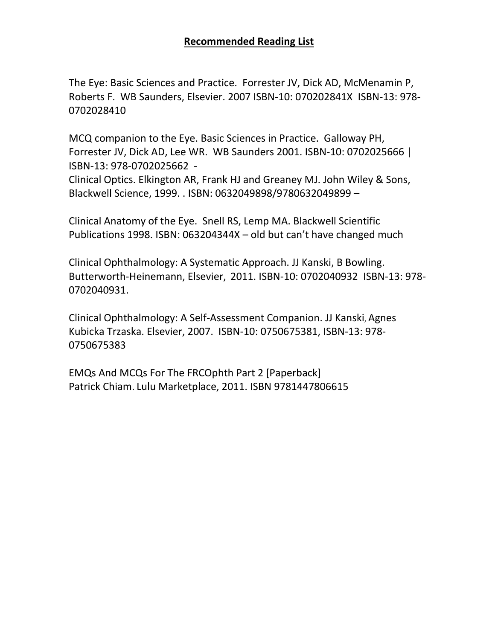## **Recommended Reading List**

The Eye: Basic Sciences and Practice. Forrester JV, Dick AD, McMenamin P, Roberts F. WB Saunders, Elsevier. 2007 ISBN-10: 070202841X ISBN-13: 978- 0702028410

MCQ companion to the Eye. Basic Sciences in Practice. Galloway PH, Forrester JV, Dick AD, Lee WR. WB Saunders 2001. ISBN-10: 0702025666 | ISBN-13: 978-0702025662 -

Clinical Optics. Elkington AR, Frank HJ and Greaney MJ. John Wiley & Sons, Blackwell Science, 1999. . ISBN: 0632049898/9780632049899 –

Clinical Anatomy of the Eye. Snell RS, Lemp MA. Blackwell Scientific Publications 1998. ISBN: 063204344X – old but can't have changed much

Clinical Ophthalmology: A Systematic Approach. JJ Kanski, B Bowling. Butterworth-Heinemann, Elsevier, 2011. ISBN-10: 0702040932 ISBN-13: 978- 0702040931.

Clinical Ophthalmology: A Self-Assessment Companion. JJ Kanski, Agnes Kubicka Trzaska. Elsevier, 2007. ISBN-10: 0750675381, ISBN-13: 978- 0750675383

EMQs And MCQs For The FRCOphth Part 2 [Paperback] Patrick Chiam. Lulu Marketplace, 2011. ISBN 9781447806615